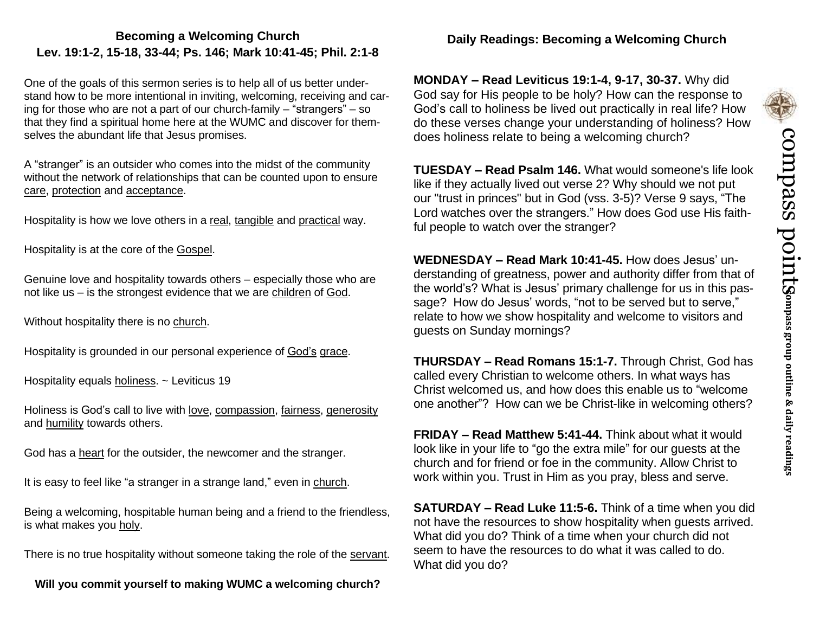# **Becoming a Welcoming Church Lev. 19:1-2, 15-18, 33-44; Ps. 146; Mark 10:41-45; Phil. 2:1-8**

One of the goals of this sermon series is to help all of us better understand how to be more intentional in inviting, welcoming, receiving and caring for those who are not a part of our church-family – "strangers" – so that they find a spiritual home here at the WUMC and discover for themselves the abundant life that Jesus promises.

A "stranger" is an outsider who comes into the midst of the community without the network of relationships that can be counted upon to ensure care, protection and acceptance.

Hospitality is how we love others in a real, tangible and practical way.

Hospitality is at the core of the Gospel.

Genuine love and hospitality towards others – especially those who are not like us – is the strongest evidence that we are children of God.

Without hospitality there is no church.

Hospitality is grounded in our personal experience of God's grace.

Hospitality equals holiness. ~ Leviticus 19

Holiness is God's call to live with love, compassion, fairness, generosity and humility towards others.

God has a heart for the outsider, the newcomer and the stranger.

It is easy to feel like "a stranger in a strange land," even in church.

Being a welcoming, hospitable human being and a friend to the friendless, is what makes you holy.

There is no true hospitality without someone taking the role of the servant.

**Will you commit yourself to making WUMC a welcoming church?**

## **Daily Readings: Becoming a Welcoming Church**

**MONDAY – Read Leviticus 19:1-4, 9-17, 30-37.** Why did God say for His people to be holy? How can the response to God's call to holiness be lived out practically in real life? How do these verses change your understanding of holiness? How does holiness relate to being a welcoming church?

**TUESDAY – Read Psalm 146.** What would someone's life look like if they actually lived out verse 2? Why should we not put our "trust in princes" but in God (vss. 3-5)? Verse 9 says, "The Lord watches over the strangers." How does God use His faithful people to watch over the stranger?

**WEDNESDAY – Read Mark 10:41-45.** How does Jesus' understanding of greatness, power and authority differ from that of the world's? What is Jesus' primary challenge for us in this passage? How do Jesus' words, "not to be served but to serve," relate to how we show hospitality and welcome to visitors and guests on Sunday mornings?

**THURSDAY – Read Romans 15:1-7.** Through Christ, God has called every Christian to welcome others. In what ways has Christ welcomed us, and how does this enable us to "welcome one another"? How can we be Christ-like in welcoming others?

**FRIDAY – Read Matthew 5:41-44.** Think about what it would look like in your life to "go the extra mile" for our guests at the church and for friend or foe in the community. Allow Christ to work within you. Trust in Him as you pray, bless and serve.

**SATURDAY – Read Luke 11:5-6.** Think of a time when you did not have the resources to show hospitality when guests arrived. What did you do? Think of a time when your church did not seem to have the resources to do what it was called to do. What did you do?